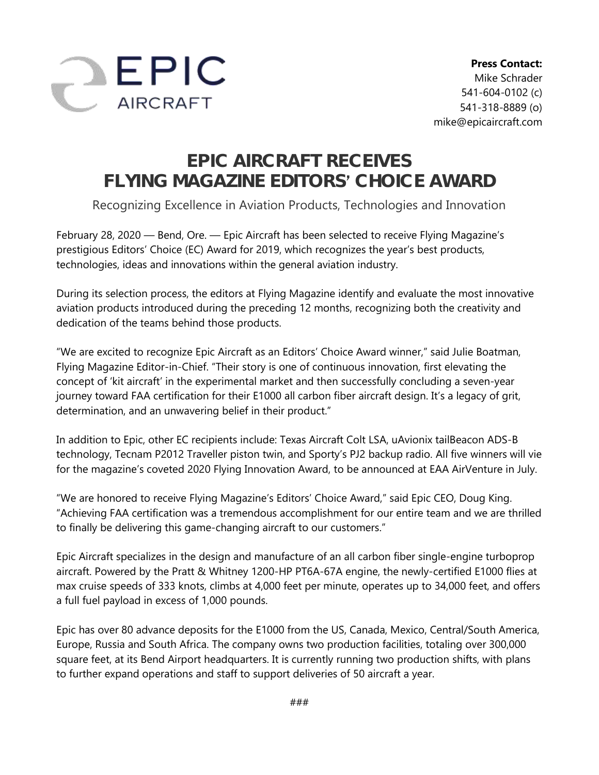

## **EPIC AIRCRAFT RECEIVES FLYING MAGAZINE EDITORS CHOICE AWARD**

Recognizing Excellence in Aviation Products, Technologies and Innovation

February 28, 2020 — Bend, Ore. — Epic Aircraft has been selected to receive Flying Magazine's prestigious Editors' Choice (EC) Award for 2019, which recognizes the year's best products, technologies, ideas and innovations within the general aviation industry.

During its selection process, the editors at Flying Magazine identify and evaluate the most innovative aviation products introduced during the preceding 12 months, recognizing both the creativity and dedication of the teams behind those products.

"We are excited to recognize Epic Aircraft as an Editors' Choice Award winner," said Julie Boatman, Flying Magazine Editor-in-Chief. "Their story is one of continuous innovation, first elevating the concept of 'kit aircraft' in the experimental market and then successfully concluding a seven-year journey toward FAA certification for their E1000 all carbon fiber aircraft design. It's a legacy of grit, determination, and an unwavering belief in their product."

In addition to Epic, other EC recipients include: Texas Aircraft Colt LSA, uAvionix tailBeacon ADS-B technology, Tecnam P2012 Traveller piston twin, and Sporty's PJ2 backup radio. All five winners will vie for the magazine's coveted 2020 Flying Innovation Award, to be announced at EAA AirVenture in July.

"We are honored to receive Flying Magazine's Editors' Choice Award," said Epic CEO, Doug King. "Achieving FAA certification was a tremendous accomplishment for our entire team and we are thrilled to finally be delivering this game-changing aircraft to our customers."

Epic Aircraft specializes in the design and manufacture of an all carbon fiber single-engine turboprop aircraft. Powered by the Pratt & Whitney 1200-HP PT6A-67A engine, the newly-certified E1000 flies at max cruise speeds of 333 knots, climbs at 4,000 feet per minute, operates up to 34,000 feet, and offers a full fuel payload in excess of 1,000 pounds.

Epic has over 80 advance deposits for the E1000 from the US, Canada, Mexico, Central/South America, Europe, Russia and South Africa. The company owns two production facilities, totaling over 300,000 square feet, at its Bend Airport headquarters. It is currently running two production shifts, with plans to further expand operations and staff to support deliveries of 50 aircraft a year.